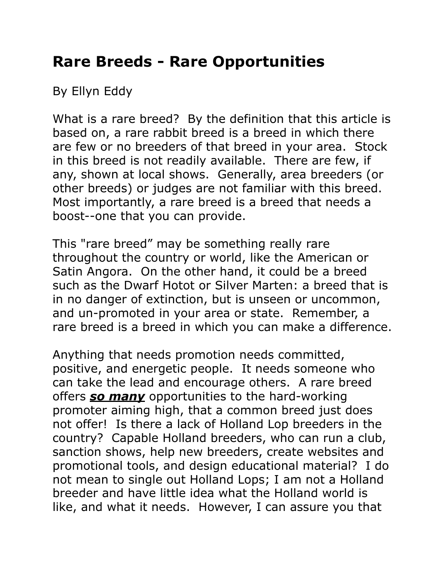## **Rare Breeds - Rare Opportunities**

By Ellyn Eddy

What is a rare breed? By the definition that this article is based on, a rare rabbit breed is a breed in which there are few or no breeders of that breed in your area. Stock in this breed is not readily available. There are few, if any, shown at local shows. Generally, area breeders (or other breeds) or judges are not familiar with this breed. Most importantly, a rare breed is a breed that needs a boost--one that you can provide.

This "rare breed" may be something really rare throughout the country or world, like the American or Satin Angora. On the other hand, it could be a breed such as the Dwarf Hotot or Silver Marten: a breed that is in no danger of extinction, but is unseen or uncommon, and un-promoted in your area or state. Remember, a rare breed is a breed in which you can make a difference.

Anything that needs promotion needs committed, positive, and energetic people. It needs someone who can take the lead and encourage others. A rare breed offers *so many* opportunities to the hard-working promoter aiming high, that a common breed just does not offer! Is there a lack of Holland Lop breeders in the country? Capable Holland breeders, who can run a club, sanction shows, help new breeders, create websites and promotional tools, and design educational material? I do not mean to single out Holland Lops; I am not a Holland breeder and have little idea what the Holland world is like, and what it needs. However, I can assure you that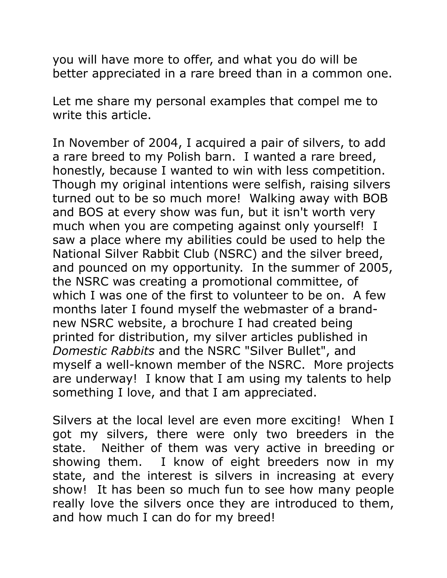you will have more to offer, and what you do will be better appreciated in a rare breed than in a common one.

Let me share my personal examples that compel me to write this article.

In November of 2004, I acquired a pair of silvers, to add a rare breed to my Polish barn. I wanted a rare breed, honestly, because I wanted to win with less competition. Though my original intentions were selfish, raising silvers turned out to be so much more! Walking away with BOB and BOS at every show was fun, but it isn't worth very much when you are competing against only yourself! I saw a place where my abilities could be used to help the National Silver Rabbit Club (NSRC) and the silver breed, and pounced on my opportunity. In the summer of 2005, the NSRC was creating a promotional committee, of which I was one of the first to volunteer to be on. A few months later I found myself the webmaster of a brandnew NSRC website, a brochure I had created being printed for distribution, my silver articles published in *Domestic Rabbits* and the NSRC "Silver Bullet", and myself a well-known member of the NSRC. More projects are underway! I know that I am using my talents to help something I love, and that I am appreciated.

Silvers at the local level are even more exciting! When I got my silvers, there were only two breeders in the state. Neither of them was very active in breeding or showing them. I know of eight breeders now in my state, and the interest is silvers in increasing at every show! It has been so much fun to see how many people really love the silvers once they are introduced to them, and how much I can do for my breed!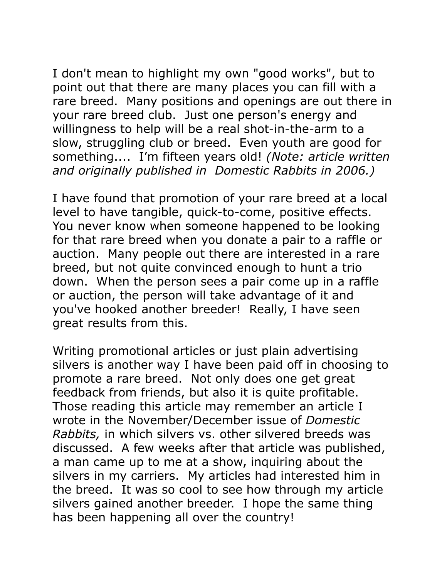I don't mean to highlight my own "good works", but to point out that there are many places you can fill with a rare breed. Many positions and openings are out there in your rare breed club. Just one person's energy and willingness to help will be a real shot-in-the-arm to a slow, struggling club or breed. Even youth are good for something.... I'm fifteen years old! *(Note: article written and originally published in Domestic Rabbits in 2006.)*

I have found that promotion of your rare breed at a local level to have tangible, quick-to-come, positive effects. You never know when someone happened to be looking for that rare breed when you donate a pair to a raffle or auction. Many people out there are interested in a rare breed, but not quite convinced enough to hunt a trio down. When the person sees a pair come up in a raffle or auction, the person will take advantage of it and you've hooked another breeder! Really, I have seen great results from this.

Writing promotional articles or just plain advertising silvers is another way I have been paid off in choosing to promote a rare breed. Not only does one get great feedback from friends, but also it is quite profitable. Those reading this article may remember an article I wrote in the November/December issue of *Domestic Rabbits,* in which silvers vs. other silvered breeds was discussed. A few weeks after that article was published, a man came up to me at a show, inquiring about the silvers in my carriers. My articles had interested him in the breed. It was so cool to see how through my article silvers gained another breeder. I hope the same thing has been happening all over the country!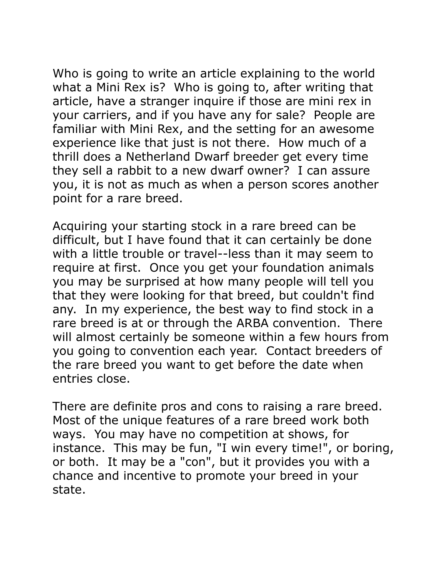Who is going to write an article explaining to the world what a Mini Rex is? Who is going to, after writing that article, have a stranger inquire if those are mini rex in your carriers, and if you have any for sale? People are familiar with Mini Rex, and the setting for an awesome experience like that just is not there. How much of a thrill does a Netherland Dwarf breeder get every time they sell a rabbit to a new dwarf owner? I can assure you, it is not as much as when a person scores another point for a rare breed.

Acquiring your starting stock in a rare breed can be difficult, but I have found that it can certainly be done with a little trouble or travel--less than it may seem to require at first. Once you get your foundation animals you may be surprised at how many people will tell you that they were looking for that breed, but couldn't find any. In my experience, the best way to find stock in a rare breed is at or through the ARBA convention. There will almost certainly be someone within a few hours from you going to convention each year. Contact breeders of the rare breed you want to get before the date when entries close.

There are definite pros and cons to raising a rare breed. Most of the unique features of a rare breed work both ways. You may have no competition at shows, for instance. This may be fun, "I win every time!", or boring, or both. It may be a "con", but it provides you with a chance and incentive to promote your breed in your state.